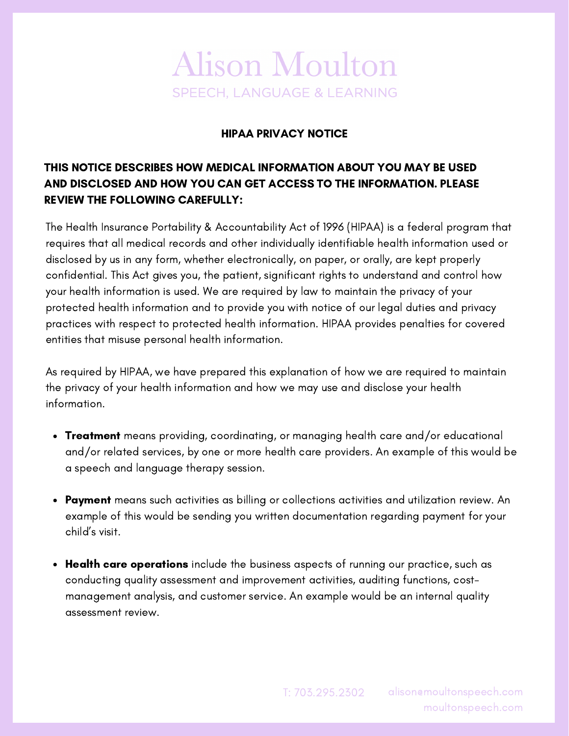## **Alison Moulton SPEECH, LANGUAGE & LEARNING**

## HIPAA PRIVACY NOTICE

## THIS NOTICE DESCRIBES HOW MEDICAL INFORMATION ABOUT YOU MAY BE USED AND DISCLOSED AND HOW YOU CAN GET ACCESS TO THE INFORMATION. PLEASE REVIEW THE FOLLOWING CAREFULLY:

The Health Insurance Portability & Accountability Act of 1996 (HIPAA) is a federal program that requires that all medical records and other individually identifiable health information used or disclosed by us in any form, whether electronically, on paper, or orally, are kept properly confidential. This Act gives you, the patient, significant rights to understand and control how your health information is used. We are required by law to maintain the privacy of your protected health information and to provide you with notice of our legal duties and privacy practices with respect to protected health information. HIPAA provides penalties for covered entities that misuse personal health information.

As required by HIPAA, we have prepared this explanation of how we are required to maintain the privacy of your health information and how we may use and disclose your health information.

- Treatment means providing, coordinating, or managing health care and/or educational and/or related services, by one or more health care providers. An example of this would be a speech and language therapy session.
- Payment means such activities as billing or collections activities and utilization review. An example of this would be sending you written documentation regarding payment for your child's visit.
- Health care operations include the business aspects of running our practice, such as conducting quality assessment and improvement activities, auditing functions, costmanagement analysis, and customer service. An example would be an internal quality assessment review.